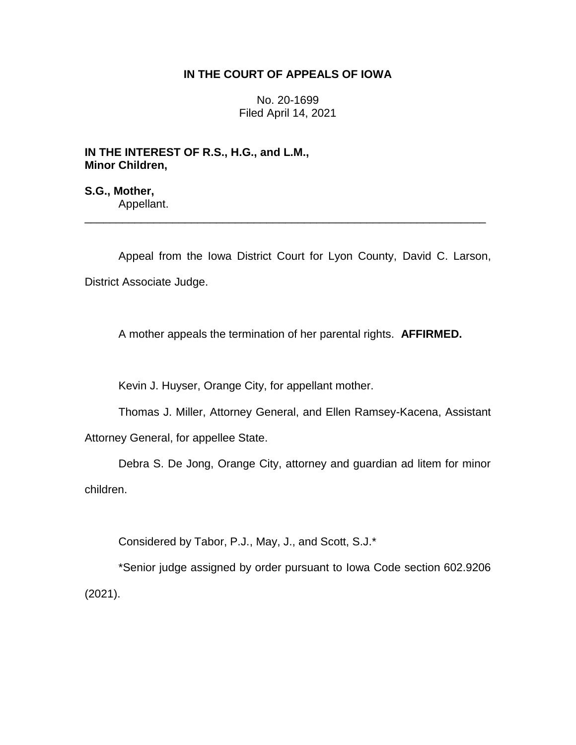## **IN THE COURT OF APPEALS OF IOWA**

No. 20-1699 Filed April 14, 2021

**IN THE INTEREST OF R.S., H.G., and L.M., Minor Children,**

**S.G., Mother,** Appellant.

Appeal from the Iowa District Court for Lyon County, David C. Larson, District Associate Judge.

\_\_\_\_\_\_\_\_\_\_\_\_\_\_\_\_\_\_\_\_\_\_\_\_\_\_\_\_\_\_\_\_\_\_\_\_\_\_\_\_\_\_\_\_\_\_\_\_\_\_\_\_\_\_\_\_\_\_\_\_\_\_\_\_

A mother appeals the termination of her parental rights. **AFFIRMED.**

Kevin J. Huyser, Orange City, for appellant mother.

Thomas J. Miller, Attorney General, and Ellen Ramsey-Kacena, Assistant Attorney General, for appellee State.

Debra S. De Jong, Orange City, attorney and guardian ad litem for minor children.

Considered by Tabor, P.J., May, J., and Scott, S.J.\*

\*Senior judge assigned by order pursuant to Iowa Code section 602.9206 (2021).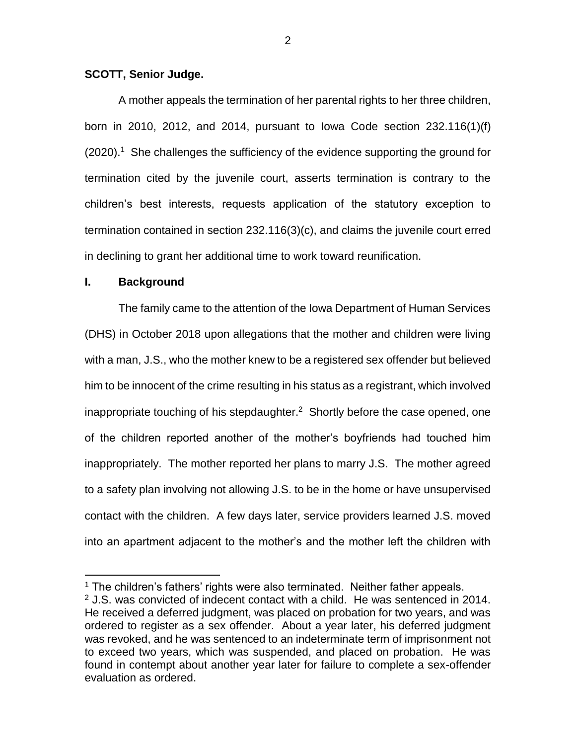#### **SCOTT, Senior Judge.**

A mother appeals the termination of her parental rights to her three children, born in 2010, 2012, and 2014, pursuant to Iowa Code section 232.116(1)(f) (2020).<sup>1</sup> She challenges the sufficiency of the evidence supporting the ground for termination cited by the juvenile court, asserts termination is contrary to the children's best interests, requests application of the statutory exception to termination contained in section 232.116(3)(c), and claims the juvenile court erred in declining to grant her additional time to work toward reunification.

### **I. Background**

 $\overline{a}$ 

The family came to the attention of the Iowa Department of Human Services (DHS) in October 2018 upon allegations that the mother and children were living with a man, J.S., who the mother knew to be a registered sex offender but believed him to be innocent of the crime resulting in his status as a registrant, which involved inappropriate touching of his stepdaughter. $2$  Shortly before the case opened, one of the children reported another of the mother's boyfriends had touched him inappropriately. The mother reported her plans to marry J.S. The mother agreed to a safety plan involving not allowing J.S. to be in the home or have unsupervised contact with the children. A few days later, service providers learned J.S. moved into an apartment adjacent to the mother's and the mother left the children with

 $1$  The children's fathers' rights were also terminated. Neither father appeals.

 $2$  J.S. was convicted of indecent contact with a child. He was sentenced in 2014. He received a deferred judgment, was placed on probation for two years, and was ordered to register as a sex offender. About a year later, his deferred judgment was revoked, and he was sentenced to an indeterminate term of imprisonment not to exceed two years, which was suspended, and placed on probation. He was found in contempt about another year later for failure to complete a sex-offender evaluation as ordered.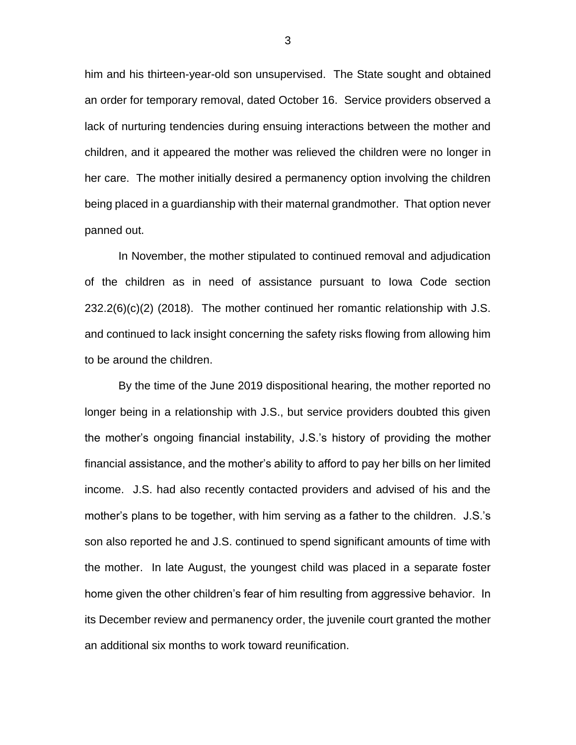him and his thirteen-year-old son unsupervised. The State sought and obtained an order for temporary removal, dated October 16. Service providers observed a lack of nurturing tendencies during ensuing interactions between the mother and children, and it appeared the mother was relieved the children were no longer in her care. The mother initially desired a permanency option involving the children being placed in a guardianship with their maternal grandmother. That option never panned out.

In November, the mother stipulated to continued removal and adjudication of the children as in need of assistance pursuant to Iowa Code section 232.2(6)(c)(2) (2018). The mother continued her romantic relationship with J.S. and continued to lack insight concerning the safety risks flowing from allowing him to be around the children.

By the time of the June 2019 dispositional hearing, the mother reported no longer being in a relationship with J.S., but service providers doubted this given the mother's ongoing financial instability, J.S.'s history of providing the mother financial assistance, and the mother's ability to afford to pay her bills on her limited income. J.S. had also recently contacted providers and advised of his and the mother's plans to be together, with him serving as a father to the children. J.S.'s son also reported he and J.S. continued to spend significant amounts of time with the mother. In late August, the youngest child was placed in a separate foster home given the other children's fear of him resulting from aggressive behavior. In its December review and permanency order, the juvenile court granted the mother an additional six months to work toward reunification.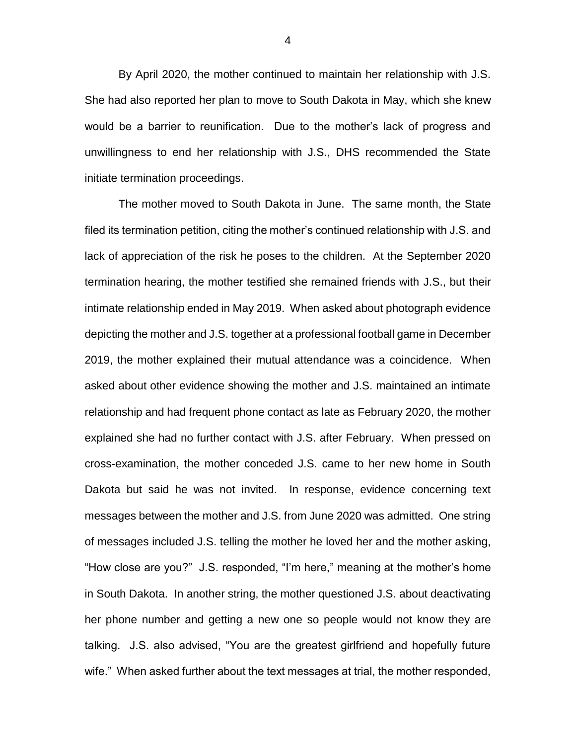By April 2020, the mother continued to maintain her relationship with J.S. She had also reported her plan to move to South Dakota in May, which she knew would be a barrier to reunification. Due to the mother's lack of progress and unwillingness to end her relationship with J.S., DHS recommended the State initiate termination proceedings.

The mother moved to South Dakota in June. The same month, the State filed its termination petition, citing the mother's continued relationship with J.S. and lack of appreciation of the risk he poses to the children. At the September 2020 termination hearing, the mother testified she remained friends with J.S., but their intimate relationship ended in May 2019. When asked about photograph evidence depicting the mother and J.S. together at a professional football game in December 2019, the mother explained their mutual attendance was a coincidence. When asked about other evidence showing the mother and J.S. maintained an intimate relationship and had frequent phone contact as late as February 2020, the mother explained she had no further contact with J.S. after February. When pressed on cross-examination, the mother conceded J.S. came to her new home in South Dakota but said he was not invited. In response, evidence concerning text messages between the mother and J.S. from June 2020 was admitted. One string of messages included J.S. telling the mother he loved her and the mother asking, "How close are you?" J.S. responded, "I'm here," meaning at the mother's home in South Dakota. In another string, the mother questioned J.S. about deactivating her phone number and getting a new one so people would not know they are talking. J.S. also advised, "You are the greatest girlfriend and hopefully future wife." When asked further about the text messages at trial, the mother responded,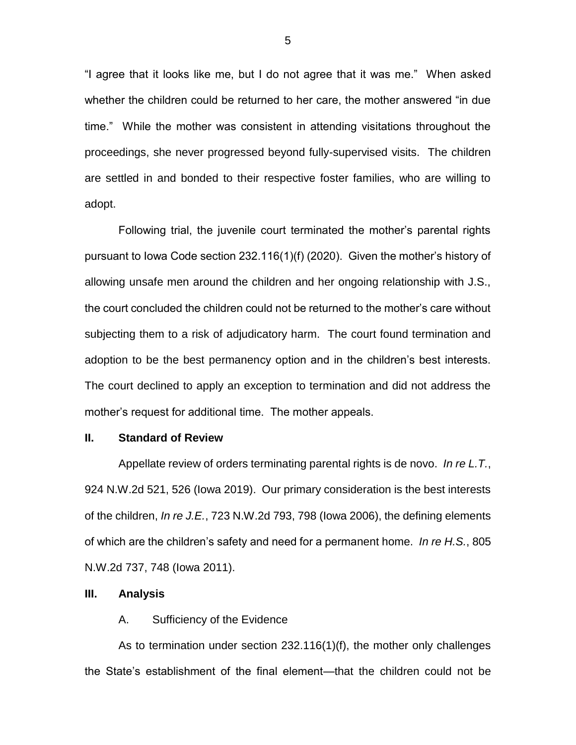"I agree that it looks like me, but I do not agree that it was me." When asked whether the children could be returned to her care, the mother answered "in due time." While the mother was consistent in attending visitations throughout the proceedings, she never progressed beyond fully-supervised visits. The children are settled in and bonded to their respective foster families, who are willing to adopt.

Following trial, the juvenile court terminated the mother's parental rights pursuant to Iowa Code section 232.116(1)(f) (2020). Given the mother's history of allowing unsafe men around the children and her ongoing relationship with J.S., the court concluded the children could not be returned to the mother's care without subjecting them to a risk of adjudicatory harm. The court found termination and adoption to be the best permanency option and in the children's best interests. The court declined to apply an exception to termination and did not address the mother's request for additional time. The mother appeals.

#### **II. Standard of Review**

Appellate review of orders terminating parental rights is de novo. *In re L.T.*, 924 N.W.2d 521, 526 (Iowa 2019). Our primary consideration is the best interests of the children, *In re J.E.*, 723 N.W.2d 793, 798 (Iowa 2006), the defining elements of which are the children's safety and need for a permanent home. *In re H.S.*, 805 N.W.2d 737, 748 (Iowa 2011).

#### **III. Analysis**

#### A. Sufficiency of the Evidence

As to termination under section 232.116(1)(f), the mother only challenges the State's establishment of the final element—that the children could not be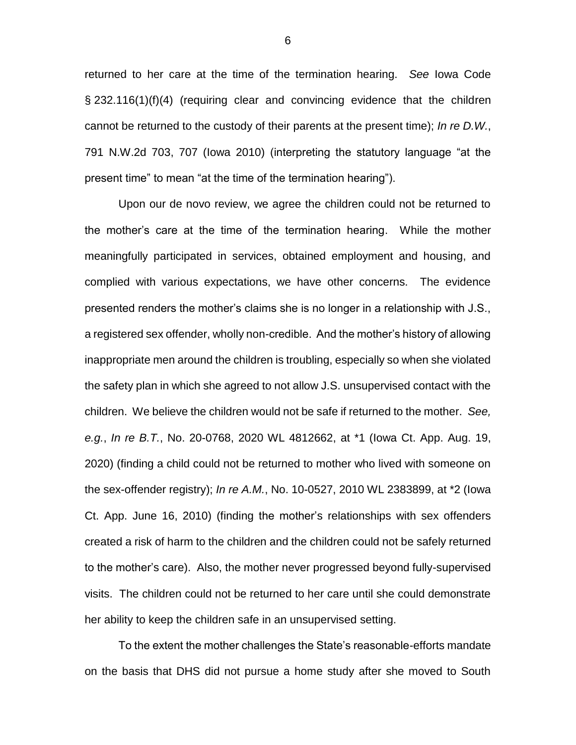returned to her care at the time of the termination hearing. *See* Iowa Code § 232.116(1)(f)(4) (requiring clear and convincing evidence that the children cannot be returned to the custody of their parents at the present time); *In re D.W.*, 791 N.W.2d 703, 707 (Iowa 2010) (interpreting the statutory language "at the present time" to mean "at the time of the termination hearing").

Upon our de novo review, we agree the children could not be returned to the mother's care at the time of the termination hearing. While the mother meaningfully participated in services, obtained employment and housing, and complied with various expectations, we have other concerns. The evidence presented renders the mother's claims she is no longer in a relationship with J.S., a registered sex offender, wholly non-credible. And the mother's history of allowing inappropriate men around the children is troubling, especially so when she violated the safety plan in which she agreed to not allow J.S. unsupervised contact with the children. We believe the children would not be safe if returned to the mother. *See, e.g.*, *In re B.T.*, No. 20-0768, 2020 WL 4812662, at \*1 (Iowa Ct. App. Aug. 19, 2020) (finding a child could not be returned to mother who lived with someone on the sex-offender registry); *In re A.M.*, No. 10-0527, 2010 WL 2383899, at \*2 (Iowa Ct. App. June 16, 2010) (finding the mother's relationships with sex offenders created a risk of harm to the children and the children could not be safely returned to the mother's care). Also, the mother never progressed beyond fully-supervised visits. The children could not be returned to her care until she could demonstrate her ability to keep the children safe in an unsupervised setting.

To the extent the mother challenges the State's reasonable-efforts mandate on the basis that DHS did not pursue a home study after she moved to South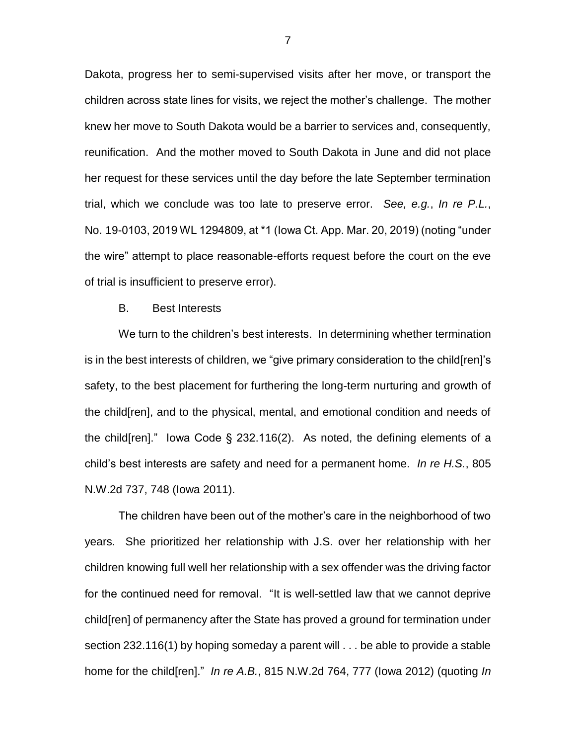Dakota, progress her to semi-supervised visits after her move, or transport the children across state lines for visits, we reject the mother's challenge. The mother knew her move to South Dakota would be a barrier to services and, consequently, reunification. And the mother moved to South Dakota in June and did not place her request for these services until the day before the late September termination trial, which we conclude was too late to preserve error. *See, e.g.*, *In re P.L.*, No. 19-0103, 2019 WL 1294809, at \*1 (Iowa Ct. App. Mar. 20, 2019) (noting "under the wire" attempt to place reasonable-efforts request before the court on the eve of trial is insufficient to preserve error).

#### B. Best Interests

We turn to the children's best interests. In determining whether termination is in the best interests of children, we "give primary consideration to the child[ren]'s safety, to the best placement for furthering the long-term nurturing and growth of the child[ren], and to the physical, mental, and emotional condition and needs of the child[ren]." Iowa Code § 232.116(2). As noted, the defining elements of a child's best interests are safety and need for a permanent home. *In re H.S.*, 805 N.W.2d 737, 748 (Iowa 2011).

The children have been out of the mother's care in the neighborhood of two years. She prioritized her relationship with J.S. over her relationship with her children knowing full well her relationship with a sex offender was the driving factor for the continued need for removal. "It is well-settled law that we cannot deprive child[ren] of permanency after the State has proved a ground for termination under section 232.116(1) by hoping someday a parent will . . . be able to provide a stable home for the child[ren]." *In re A.B.*, 815 N.W.2d 764, 777 (Iowa 2012) (quoting *In* 

7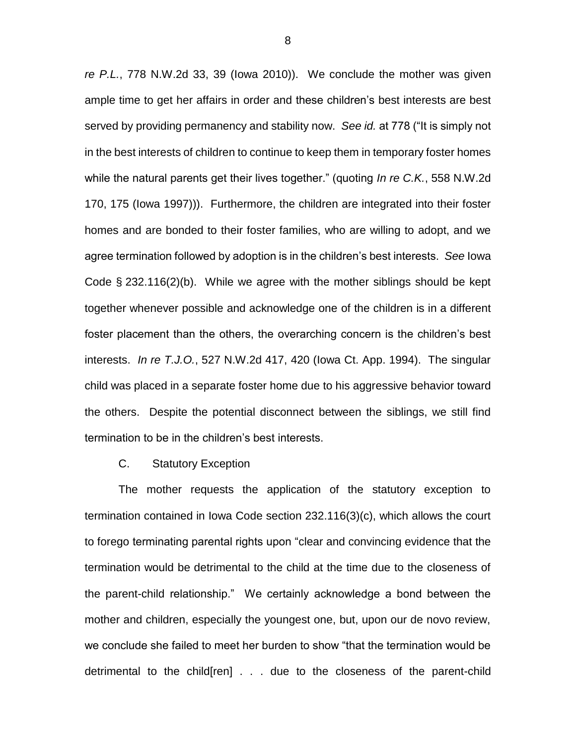*re P.L.*, 778 N.W.2d 33, 39 (Iowa 2010)). We conclude the mother was given ample time to get her affairs in order and these children's best interests are best served by providing permanency and stability now. *See id.* at 778 ("It is simply not in the best interests of children to continue to keep them in temporary foster homes while the natural parents get their lives together." (quoting *In re C.K.*, 558 N.W.2d 170, 175 (Iowa 1997))). Furthermore, the children are integrated into their foster homes and are bonded to their foster families, who are willing to adopt, and we agree termination followed by adoption is in the children's best interests. *See* Iowa Code § 232.116(2)(b). While we agree with the mother siblings should be kept together whenever possible and acknowledge one of the children is in a different foster placement than the others, the overarching concern is the children's best interests. *In re T.J.O.*, 527 N.W.2d 417, 420 (Iowa Ct. App. 1994). The singular child was placed in a separate foster home due to his aggressive behavior toward the others. Despite the potential disconnect between the siblings, we still find termination to be in the children's best interests.

### C. Statutory Exception

The mother requests the application of the statutory exception to termination contained in Iowa Code section 232.116(3)(c), which allows the court to forego terminating parental rights upon "clear and convincing evidence that the termination would be detrimental to the child at the time due to the closeness of the parent-child relationship." We certainly acknowledge a bond between the mother and children, especially the youngest one, but, upon our de novo review, we conclude she failed to meet her burden to show "that the termination would be detrimental to the child[ren] . . . due to the closeness of the parent-child

8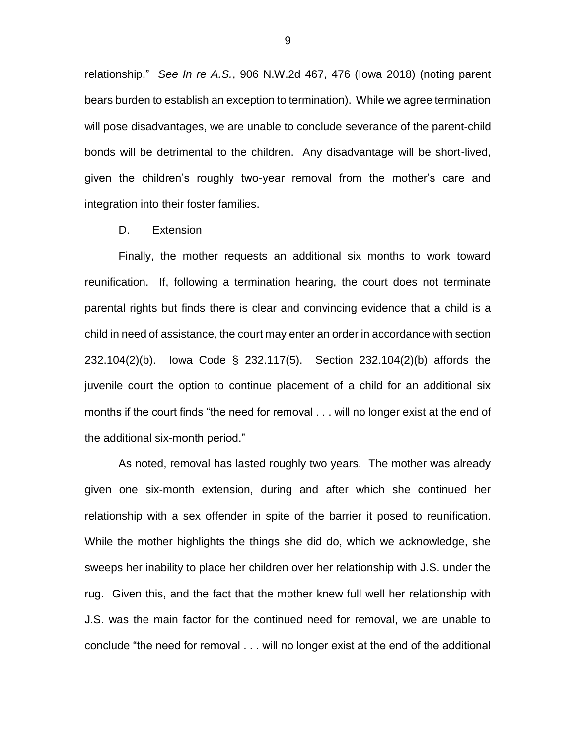relationship." *See In re A.S.*, 906 N.W.2d 467, 476 (Iowa 2018) (noting parent bears burden to establish an exception to termination). While we agree termination will pose disadvantages, we are unable to conclude severance of the parent-child bonds will be detrimental to the children. Any disadvantage will be short-lived, given the children's roughly two-year removal from the mother's care and integration into their foster families.

#### D. Extension

Finally, the mother requests an additional six months to work toward reunification. If, following a termination hearing, the court does not terminate parental rights but finds there is clear and convincing evidence that a child is a child in need of assistance, the court may enter an order in accordance with section 232.104(2)(b). Iowa Code § 232.117(5). Section 232.104(2)(b) affords the juvenile court the option to continue placement of a child for an additional six months if the court finds "the need for removal . . . will no longer exist at the end of the additional six-month period."

As noted, removal has lasted roughly two years. The mother was already given one six-month extension, during and after which she continued her relationship with a sex offender in spite of the barrier it posed to reunification. While the mother highlights the things she did do, which we acknowledge, she sweeps her inability to place her children over her relationship with J.S. under the rug. Given this, and the fact that the mother knew full well her relationship with J.S. was the main factor for the continued need for removal, we are unable to conclude "the need for removal . . . will no longer exist at the end of the additional

9